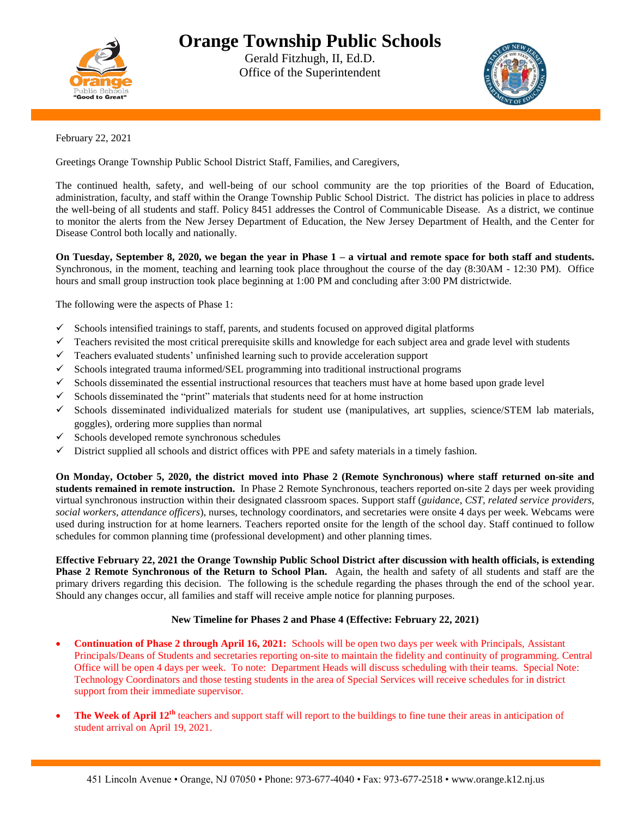

## **Orange Township Public Schools**

Gerald Fitzhugh, II, Ed.D. Office of the Superintendent



February 22, 2021

Greetings Orange Township Public School District Staff, Families, and Caregivers,

The continued health, safety, and well-being of our school community are the top priorities of the Board of Education, administration, faculty, and staff within the Orange Township Public School District. The district has policies in place to address the well-being of all students and staff. Policy 8451 addresses the Control of Communicable Disease. As a district, we continue to monitor the alerts from the New Jersey Department of Education, the New Jersey Department of Health, and the Center for Disease Control both locally and nationally.

**On Tuesday, September 8, 2020, we began the year in Phase 1 – a virtual and remote space for both staff and students.** Synchronous, in the moment, teaching and learning took place throughout the course of the day (8:30AM - 12:30 PM). Office hours and small group instruction took place beginning at 1:00 PM and concluding after 3:00 PM districtwide.

The following were the aspects of Phase 1:

- $\checkmark$  Schools intensified trainings to staff, parents, and students focused on approved digital platforms
- $\checkmark$  Teachers revisited the most critical prerequisite skills and knowledge for each subject area and grade level with students
- $\checkmark$  Teachers evaluated students' unfinished learning such to provide acceleration support
- $\checkmark$  Schools integrated trauma informed/SEL programming into traditional instructional programs
- $\checkmark$  Schools disseminated the essential instructional resources that teachers must have at home based upon grade level
- $\checkmark$  Schools disseminated the "print" materials that students need for at home instruction
- $\checkmark$  Schools disseminated individualized materials for student use (manipulatives, art supplies, science/STEM lab materials, goggles), ordering more supplies than normal
- $\checkmark$  Schools developed remote synchronous schedules
- $\checkmark$  District supplied all schools and district offices with PPE and safety materials in a timely fashion.

**On Monday, October 5, 2020, the district moved into Phase 2 (Remote Synchronous) where staff returned on-site and students remained in remote instruction.** In Phase 2 Remote Synchronous, teachers reported on-site 2 days per week providing virtual synchronous instruction within their designated classroom spaces. Support staff (*guidance, CST, related service providers, social workers, attendance officers*), nurses, technology coordinators, and secretaries were onsite 4 days per week. Webcams were used during instruction for at home learners. Teachers reported onsite for the length of the school day. Staff continued to follow schedules for common planning time (professional development) and other planning times.

**Effective February 22, 2021 the Orange Township Public School District after discussion with health officials, is extending Phase 2 Remote Synchronous of the Return to School Plan.** Again, the health and safety of all students and staff are the primary drivers regarding this decision. The following is the schedule regarding the phases through the end of the school year. Should any changes occur, all families and staff will receive ample notice for planning purposes.

## **New Timeline for Phases 2 and Phase 4 (Effective: February 22, 2021)**

- **Continuation of Phase 2 through April 16, 2021:** Schools will be open two days per week with Principals, Assistant Principals/Deans of Students and secretaries reporting on-site to maintain the fidelity and continuity of programming. Central Office will be open 4 days per week. To note: Department Heads will discuss scheduling with their teams. Special Note: Technology Coordinators and those testing students in the area of Special Services will receive schedules for in district support from their immediate supervisor.
- **The Week of April 12th** teachers and support staff will report to the buildings to fine tune their areas in anticipation of student arrival on April 19, 2021.